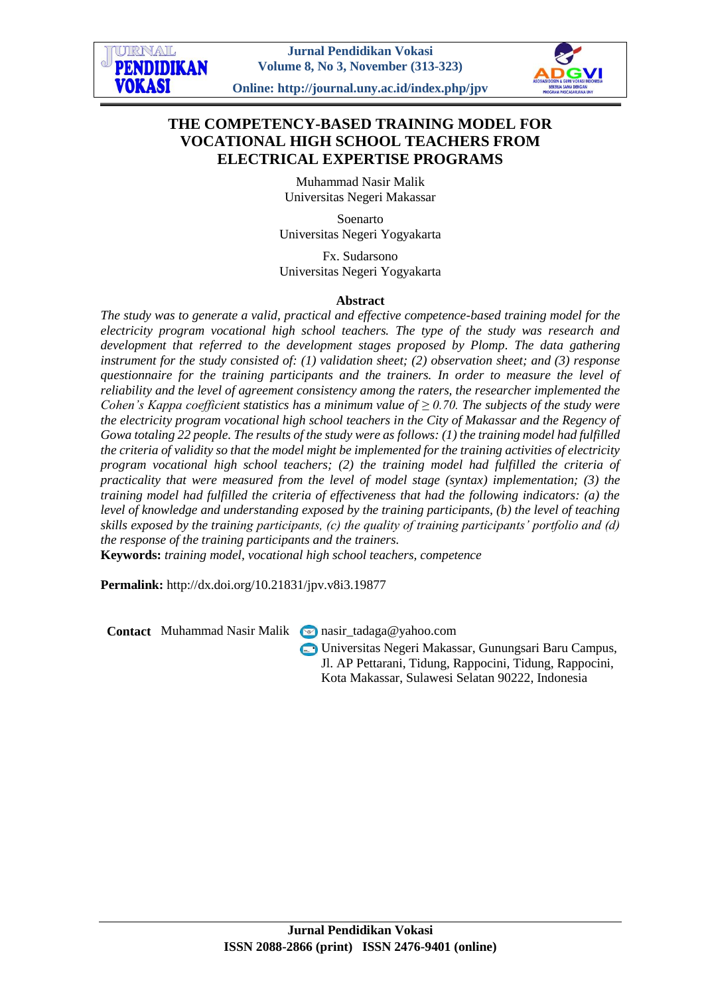# **THE COMPETENCY-BASED TRAINING MODEL FOR VOCATIONAL HIGH SCHOOL TEACHERS FROM ELECTRICAL EXPERTISE PROGRAMS**

Muhammad Nasir Malik Universitas Negeri Makassar

Soenarto Universitas Negeri Yogyakarta

Fx. Sudarsono Universitas Negeri Yogyakarta

#### **Abstract**

*The study was to generate a valid, practical and effective competence-based training model for the electricity program vocational high school teachers. The type of the study was research and development that referred to the development stages proposed by Plomp. The data gathering instrument for the study consisted of: (1) validation sheet; (2) observation sheet; and (3) response questionnaire for the training participants and the trainers. In order to measure the level of reliability and the level of agreement consistency among the raters, the researcher implemented the Cohen's Kappa coefficient statistics has a minimum value of*  $\geq 0.70$ *. The subjects of the study were the electricity program vocational high school teachers in the City of Makassar and the Regency of Gowa totaling 22 people. The results of the study were as follows: (1) the training model had fulfilled the criteria of validity so that the model might be implemented for the training activities of electricity program vocational high school teachers; (2) the training model had fulfilled the criteria of practicality that were measured from the level of model stage (syntax) implementation; (3) the training model had fulfilled the criteria of effectiveness that had the following indicators: (a) the level of knowledge and understanding exposed by the training participants, (b) the level of teaching skills exposed by the training participants, (c) the quality of training participants' portfolio and (d) the response of the training participants and the trainers.*

**Keywords:** *training model, vocational high school teachers, competence*

**Permalink:** http://dx.doi.org/10.21831/jpv.v8i3.19877

**Contact** Muhammad Nasir Malik nasir tadaga@yahoo.com

Universitas Negeri Makassar, Gunungsari Baru Campus, Jl. AP Pettarani, Tidung, Rappocini, Tidung, Rappocini, Kota Makassar, Sulawesi Selatan 90222, Indonesia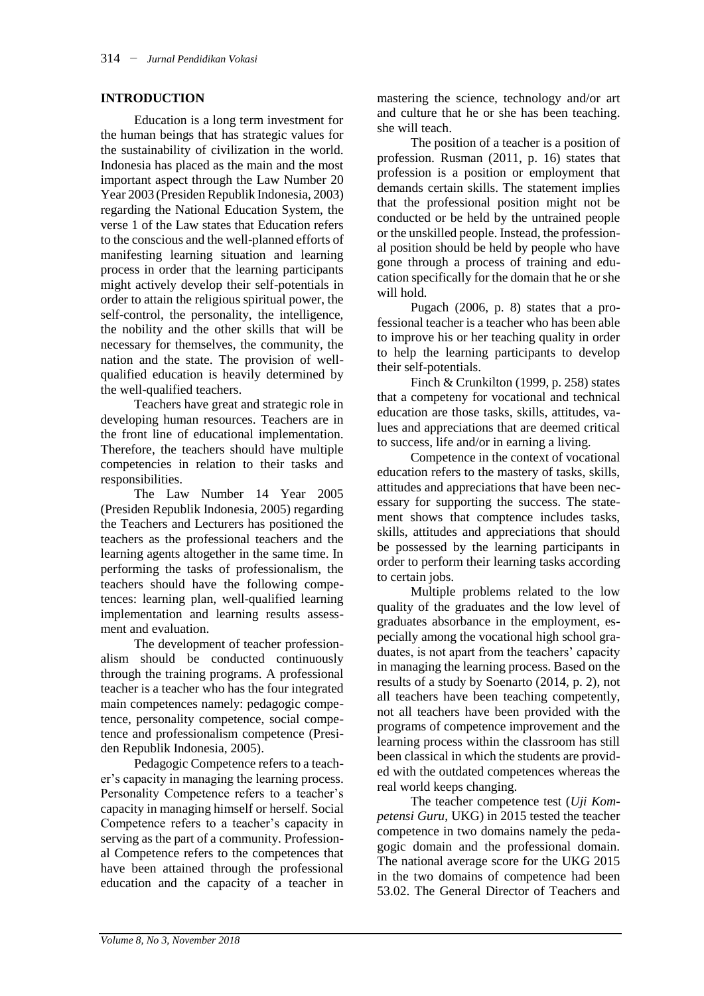## **INTRODUCTION**

Education is a long term investment for the human beings that has strategic values for the sustainability of civilization in the world. Indonesia has placed as the main and the most important aspect through the Law Number 20 Year 2003 (Presiden Republik Indonesia, 2003) regarding the National Education System, the verse 1 of the Law states that Education refers to the conscious and the well-planned efforts of manifesting learning situation and learning process in order that the learning participants might actively develop their self-potentials in order to attain the religious spiritual power, the self-control, the personality, the intelligence, the nobility and the other skills that will be necessary for themselves, the community, the nation and the state. The provision of wellqualified education is heavily determined by the well-qualified teachers.

Teachers have great and strategic role in developing human resources. Teachers are in the front line of educational implementation. Therefore, the teachers should have multiple competencies in relation to their tasks and responsibilities.

The Law Number 14 Year 2005 (Presiden Republik Indonesia, 2005) regarding the Teachers and Lecturers has positioned the teachers as the professional teachers and the learning agents altogether in the same time. In performing the tasks of professionalism, the teachers should have the following competences: learning plan, well-qualified learning implementation and learning results assessment and evaluation.

The development of teacher professionalism should be conducted continuously through the training programs. A professional teacher is a teacher who has the four integrated main competences namely: pedagogic competence, personality competence, social competence and professionalism competence (Presiden Republik Indonesia, 2005).

Pedagogic Competence refers to a teacher's capacity in managing the learning process. Personality Competence refers to a teacher's capacity in managing himself or herself. Social Competence refers to a teacher's capacity in serving as the part of a community. Professional Competence refers to the competences that have been attained through the professional education and the capacity of a teacher in

mastering the science, technology and/or art and culture that he or she has been teaching. she will teach.

The position of a teacher is a position of profession. Rusman (2011, p. 16) states that profession is a position or employment that demands certain skills. The statement implies that the professional position might not be conducted or be held by the untrained people or the unskilled people. Instead, the professional position should be held by people who have gone through a process of training and education specifically for the domain that he or she will hold.

Pugach (2006, p. 8) states that a professional teacher is a teacher who has been able to improve his or her teaching quality in order to help the learning participants to develop their self-potentials.

Finch & Crunkilton (1999, p. 258) states that a competeny for vocational and technical education are those tasks, skills, attitudes, values and appreciations that are deemed critical to success, life and/or in earning a living.

Competence in the context of vocational education refers to the mastery of tasks, skills, attitudes and appreciations that have been necessary for supporting the success. The statement shows that comptence includes tasks, skills, attitudes and appreciations that should be possessed by the learning participants in order to perform their learning tasks according to certain jobs.

Multiple problems related to the low quality of the graduates and the low level of graduates absorbance in the employment, especially among the vocational high school graduates, is not apart from the teachers' capacity in managing the learning process. Based on the results of a study by Soenarto (2014, p. 2), not all teachers have been teaching competently, not all teachers have been provided with the programs of competence improvement and the learning process within the classroom has still been classical in which the students are provided with the outdated competences whereas the real world keeps changing.

The teacher competence test (*Uji Kompetensi Guru*, UKG) in 2015 tested the teacher competence in two domains namely the pedagogic domain and the professional domain. The national average score for the UKG 2015 in the two domains of competence had been 53.02. The General Director of Teachers and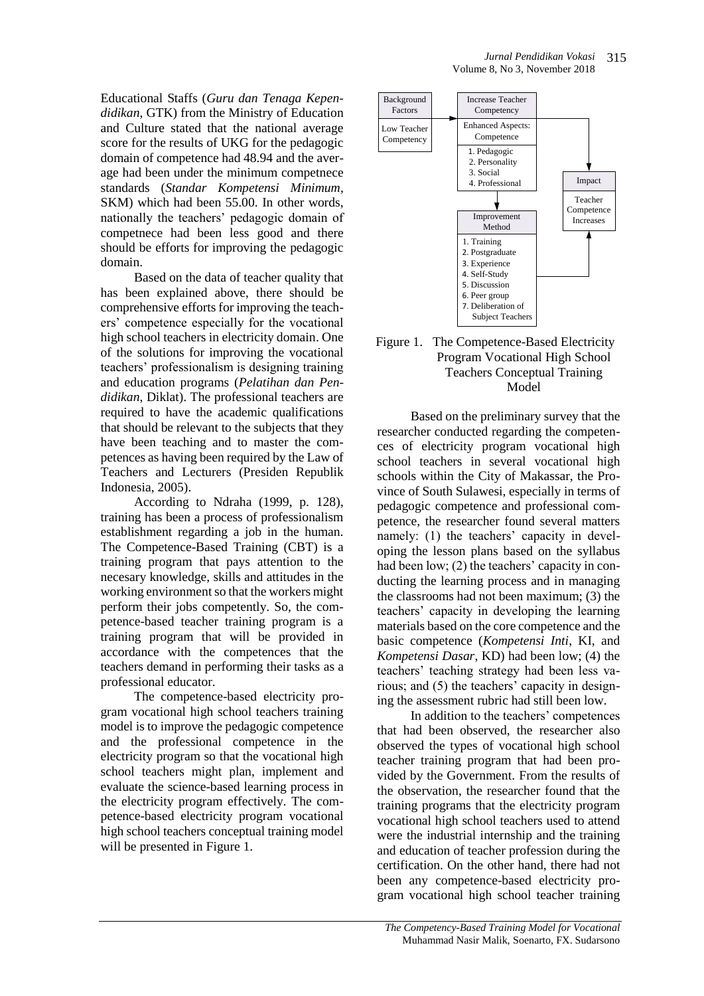Educational Staffs (*Guru dan Tenaga Kependidikan*, GTK) from the Ministry of Education and Culture stated that the national average score for the results of UKG for the pedagogic domain of competence had 48.94 and the average had been under the minimum competnece standards (*Standar Kompetensi Minimum*, SKM) which had been 55.00. In other words, nationally the teachers' pedagogic domain of competnece had been less good and there should be efforts for improving the pedagogic domain.

Based on the data of teacher quality that has been explained above, there should be comprehensive efforts for improving the teachers' competence especially for the vocational high school teachers in electricity domain. One of the solutions for improving the vocational teachers' professionalism is designing training and education programs (*Pelatihan dan Pendidikan*, Diklat). The professional teachers are required to have the academic qualifications that should be relevant to the subjects that they have been teaching and to master the competences as having been required by the Law of Teachers and Lecturers (Presiden Republik Indonesia, 2005).

According to Ndraha (1999, p. 128), training has been a process of professionalism establishment regarding a job in the human. The Competence-Based Training (CBT) is a training program that pays attention to the necesary knowledge, skills and attitudes in the working environment so that the workers might perform their jobs competently. So, the competence-based teacher training program is a training program that will be provided in accordance with the competences that the teachers demand in performing their tasks as a professional educator.

The competence-based electricity program vocational high school teachers training model is to improve the pedagogic competence and the professional competence in the electricity program so that the vocational high school teachers might plan, implement and evaluate the science-based learning process in the electricity program effectively. The competence-based electricity program vocational high school teachers conceptual training model will be presented in Figure 1.



#### Figure 1. The Competence-Based Electricity Program Vocational High School Teachers Conceptual Training Model

Based on the preliminary survey that the researcher conducted regarding the competences of electricity program vocational high school teachers in several vocational high schools within the City of Makassar, the Province of South Sulawesi, especially in terms of pedagogic competence and professional competence, the researcher found several matters namely: (1) the teachers' capacity in developing the lesson plans based on the syllabus had been low; (2) the teachers' capacity in conducting the learning process and in managing the classrooms had not been maximum; (3) the teachers' capacity in developing the learning materials based on the core competence and the basic competence (*Kompetensi Inti*, KI, and *Kompetensi Dasar*, KD) had been low; (4) the teachers' teaching strategy had been less various; and (5) the teachers' capacity in designing the assessment rubric had still been low.

In addition to the teachers' competences that had been observed, the researcher also observed the types of vocational high school teacher training program that had been provided by the Government. From the results of the observation, the researcher found that the training programs that the electricity program vocational high school teachers used to attend were the industrial internship and the training and education of teacher profession during the certification. On the other hand, there had not been any competence-based electricity program vocational high school teacher training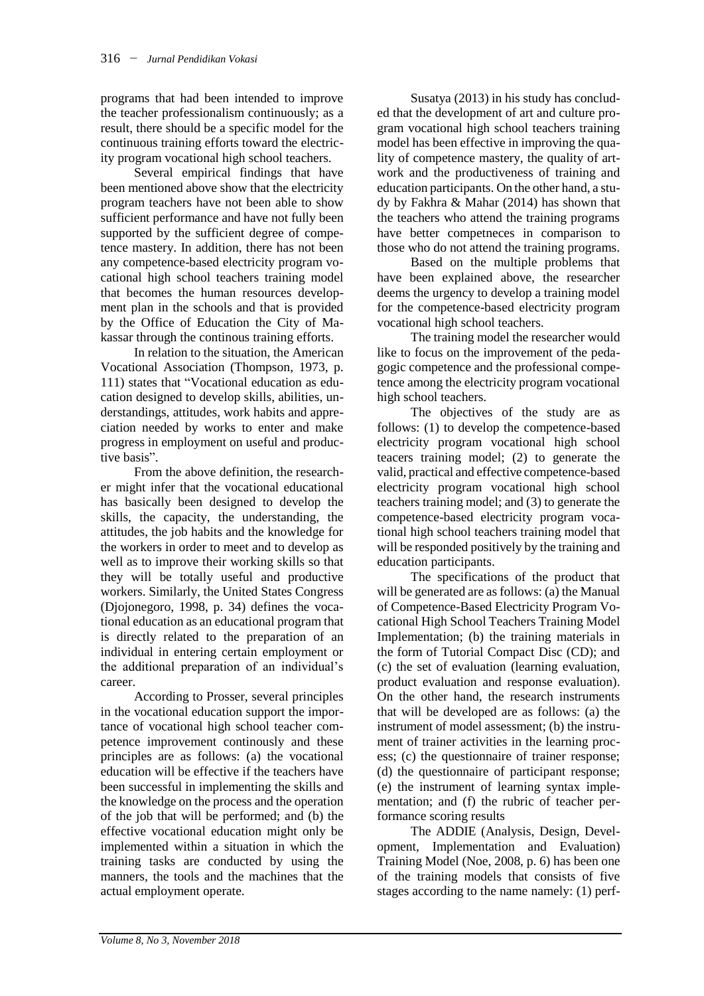programs that had been intended to improve the teacher professionalism continuously; as a result, there should be a specific model for the continuous training efforts toward the electricity program vocational high school teachers.

Several empirical findings that have been mentioned above show that the electricity program teachers have not been able to show sufficient performance and have not fully been supported by the sufficient degree of competence mastery. In addition, there has not been any competence-based electricity program vocational high school teachers training model that becomes the human resources development plan in the schools and that is provided by the Office of Education the City of Makassar through the continous training efforts.

In relation to the situation, the American Vocational Association (Thompson, 1973, p. 111) states that "Vocational education as education designed to develop skills, abilities, understandings, attitudes, work habits and appreciation needed by works to enter and make progress in employment on useful and productive basis".

From the above definition, the researcher might infer that the vocational educational has basically been designed to develop the skills, the capacity, the understanding, the attitudes, the job habits and the knowledge for the workers in order to meet and to develop as well as to improve their working skills so that they will be totally useful and productive workers. Similarly, the United States Congress (Djojonegoro, 1998, p. 34) defines the vocational education as an educational program that is directly related to the preparation of an individual in entering certain employment or the additional preparation of an individual's career.

According to Prosser, several principles in the vocational education support the importance of vocational high school teacher competence improvement continously and these principles are as follows: (a) the vocational education will be effective if the teachers have been successful in implementing the skills and the knowledge on the process and the operation of the job that will be performed; and (b) the effective vocational education might only be implemented within a situation in which the training tasks are conducted by using the manners, the tools and the machines that the actual employment operate.

Susatya (2013) in his study has concluded that the development of art and culture program vocational high school teachers training model has been effective in improving the quality of competence mastery, the quality of artwork and the productiveness of training and education participants. On the other hand, a study by Fakhra & Mahar (2014) has shown that the teachers who attend the training programs have better competneces in comparison to those who do not attend the training programs.

Based on the multiple problems that have been explained above, the researcher deems the urgency to develop a training model for the competence-based electricity program vocational high school teachers.

The training model the researcher would like to focus on the improvement of the pedagogic competence and the professional competence among the electricity program vocational high school teachers.

The objectives of the study are as follows: (1) to develop the competence-based electricity program vocational high school teacers training model; (2) to generate the valid, practical and effective competence-based electricity program vocational high school teachers training model; and (3) to generate the competence-based electricity program vocational high school teachers training model that will be responded positively by the training and education participants.

The specifications of the product that will be generated are as follows: (a) the Manual of Competence-Based Electricity Program Vocational High School Teachers Training Model Implementation; (b) the training materials in the form of Tutorial Compact Disc (CD); and (c) the set of evaluation (learning evaluation, product evaluation and response evaluation). On the other hand, the research instruments that will be developed are as follows: (a) the instrument of model assessment; (b) the instrument of trainer activities in the learning process; (c) the questionnaire of trainer response; (d) the questionnaire of participant response; (e) the instrument of learning syntax implementation; and (f) the rubric of teacher performance scoring results

The ADDIE (Analysis, Design, Development, Implementation and Evaluation) Training Model (Noe, 2008, p. 6) has been one of the training models that consists of five stages according to the name namely: (1) perf-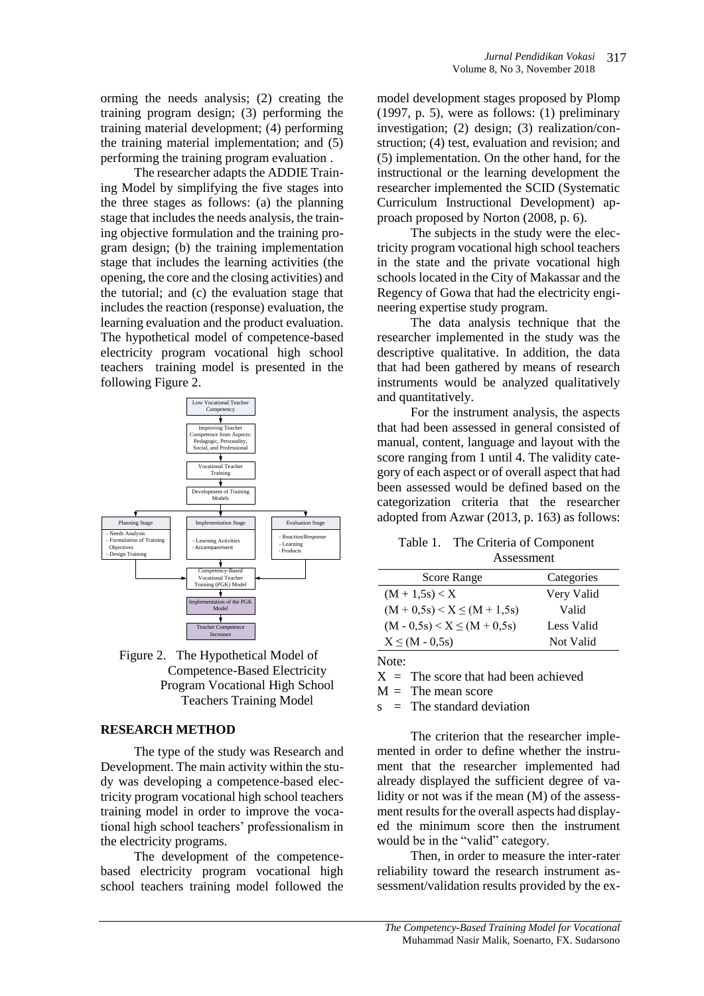performing the training program evaluation . The researcher adapts the ADDIE Training Model by simplifying the five stages into the three stages as follows: (a) the planning stage that includes the needs analysis, the training objective formulation and the training program design; (b) the training implementation stage that includes the learning activities (the opening, the core and the closing activities) and the tutorial; and (c) the evaluation stage that includes the reaction (response) evaluation, the learning evaluation and the product evaluation. The hypothetical model of competence-based electricity program vocational high school teachers training model is presented in the following Figure 2.



Figure 2. The Hypothetical Model of Competence-Based Electricity Program Vocational High School Teachers Training Model

## **RESEARCH METHOD**

The type of the study was Research and Development. The main activity within the study was developing a competence-based electricity program vocational high school teachers training model in order to improve the vocational high school teachers' professionalism in the electricity programs.

The development of the competencebased electricity program vocational high school teachers training model followed the

model development stages proposed by Plomp (1997, p. 5), were as follows: (1) preliminary investigation; (2) design; (3) realization/construction; (4) test, evaluation and revision; and (5) implementation. On the other hand, for the instructional or the learning development the researcher implemented the SCID (Systematic Curriculum Instructional Development) approach proposed by Norton (2008, p. 6).

The subjects in the study were the electricity program vocational high school teachers in the state and the private vocational high schools located in the City of Makassar and the Regency of Gowa that had the electricity engineering expertise study program.

The data analysis technique that the researcher implemented in the study was the descriptive qualitative. In addition, the data that had been gathered by means of research instruments would be analyzed qualitatively and quantitatively.

For the instrument analysis, the aspects that had been assessed in general consisted of manual, content, language and layout with the score ranging from 1 until 4. The validity category of each aspect or of overall aspect that had been assessed would be defined based on the categorization criteria that the researcher adopted from Azwar (2013, p. 163) as follows:

| Table 1. The Criteria of Component |
|------------------------------------|
| Assessment                         |

| $\cdots$                          |            |  |
|-----------------------------------|------------|--|
| Score Range                       | Categories |  |
| $(M + 1.5s) < X$                  | Very Valid |  |
| $(M + 0.5s) < X \leq (M + 1.5s)$  | Valid      |  |
| $(M - 0.5s) \le X \le (M + 0.5s)$ | Less Valid |  |
| $X \leq (M - 0.5s)$               | Not Valid  |  |
|                                   |            |  |

Note:

 $X =$ The score that had been achieved

 $M =$ The mean score

 $s =$ The standard deviation

The criterion that the researcher implemented in order to define whether the instrument that the researcher implemented had already displayed the sufficient degree of validity or not was if the mean (M) of the assessment results for the overall aspects had displayed the minimum score then the instrument would be in the "valid" category.

Then, in order to measure the inter-rater reliability toward the research instrument assessment/validation results provided by the ex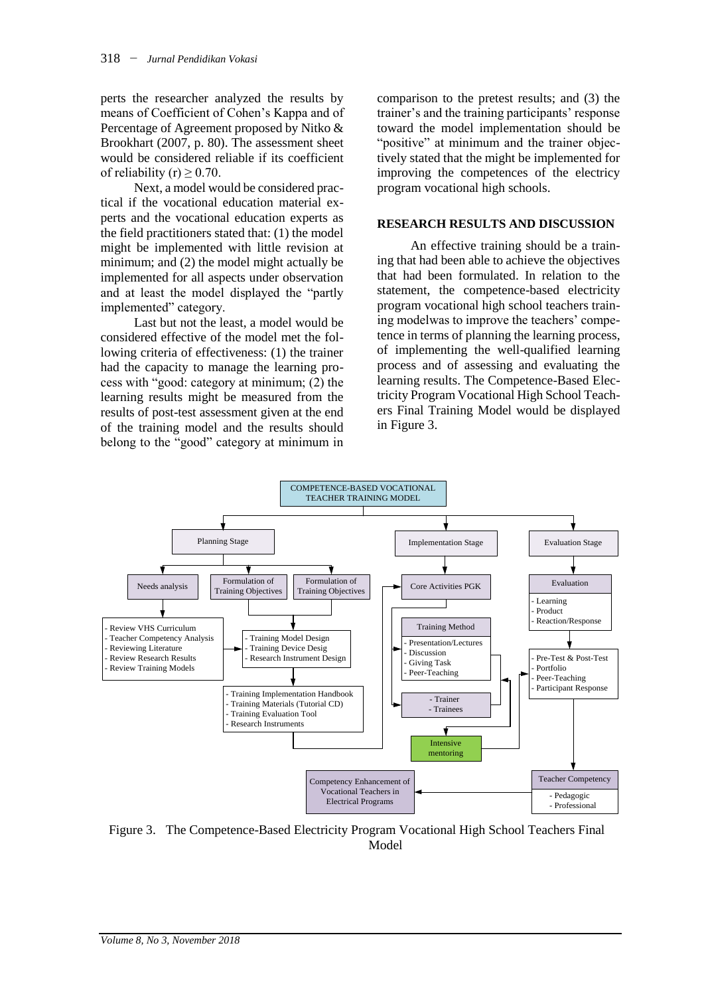perts the researcher analyzed the results by means of Coefficient of Cohen's Kappa and of Percentage of Agreement proposed by Nitko & Brookhart (2007, p. 80). The assessment sheet would be considered reliable if its coefficient of reliability (r)  $\geq$  0.70.

Next, a model would be considered practical if the vocational education material experts and the vocational education experts as the field practitioners stated that: (1) the model might be implemented with little revision at minimum; and (2) the model might actually be implemented for all aspects under observation and at least the model displayed the "partly implemented" category.

Last but not the least, a model would be considered effective of the model met the following criteria of effectiveness: (1) the trainer had the capacity to manage the learning process with "good: category at minimum; (2) the learning results might be measured from the results of post-test assessment given at the end of the training model and the results should belong to the "good" category at minimum in comparison to the pretest results; and (3) the trainer's and the training participants' response toward the model implementation should be "positive" at minimum and the trainer objectively stated that the might be implemented for improving the competences of the electricy program vocational high schools.

#### **RESEARCH RESULTS AND DISCUSSION**

An effective training should be a training that had been able to achieve the objectives that had been formulated. In relation to the statement, the competence-based electricity program vocational high school teachers training modelwas to improve the teachers' competence in terms of planning the learning process, of implementing the well-qualified learning process and of assessing and evaluating the learning results. The Competence-Based Electricity Program Vocational High School Teachers Final Training Model would be displayed in Figure 3.



Figure 3. The Competence-Based Electricity Program Vocational High School Teachers Final Model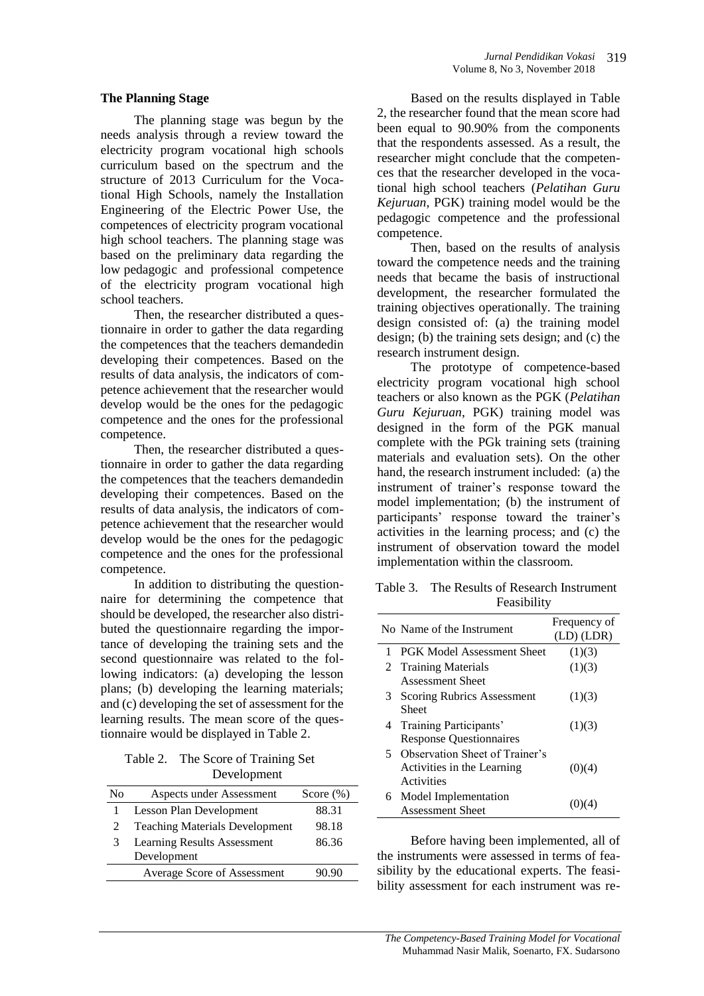#### **The Planning Stage**

The planning stage was begun by the needs analysis through a review toward the electricity program vocational high schools curriculum based on the spectrum and the structure of 2013 Curriculum for the Vocational High Schools, namely the Installation Engineering of the Electric Power Use, the competences of electricity program vocational high school teachers. The planning stage was based on the preliminary data regarding the low pedagogic and professional competence of the electricity program vocational high school teachers.

Then, the researcher distributed a questionnaire in order to gather the data regarding the competences that the teachers demandedin developing their competences. Based on the results of data analysis, the indicators of competence achievement that the researcher would develop would be the ones for the pedagogic competence and the ones for the professional competence.

Then, the researcher distributed a questionnaire in order to gather the data regarding the competences that the teachers demandedin developing their competences. Based on the results of data analysis, the indicators of competence achievement that the researcher would develop would be the ones for the pedagogic competence and the ones for the professional competence.

In addition to distributing the questionnaire for determining the competence that should be developed, the researcher also distributed the questionnaire regarding the importance of developing the training sets and the second questionnaire was related to the following indicators: (a) developing the lesson plans; (b) developing the learning materials; and (c) developing the set of assessment for the learning results. The mean score of the questionnaire would be displayed in Table 2.

Table 2. The Score of Training Set **Development** 

| No | Aspects under Assessment                          | Score $(\%)$ |
|----|---------------------------------------------------|--------------|
|    | Lesson Plan Development                           | 88.31        |
| 2  | <b>Teaching Materials Development</b>             | 98.18        |
| 3  | <b>Learning Results Assessment</b><br>Development | 86.36        |
|    |                                                   |              |
|    | Average Score of Assessment                       | 90.90        |
|    |                                                   |              |

Based on the results displayed in Table 2, the researcher found that the mean score had been equal to 90.90% from the components that the respondents assessed. As a result, the researcher might conclude that the competences that the researcher developed in the vocational high school teachers (*Pelatihan Guru Kejuruan*, PGK) training model would be the pedagogic competence and the professional competence.

Then, based on the results of analysis toward the competence needs and the training needs that became the basis of instructional development, the researcher formulated the training objectives operationally. The training design consisted of: (a) the training model design; (b) the training sets design; and (c) the research instrument design.

The prototype of competence-based electricity program vocational high school teachers or also known as the PGK (*Pelatihan Guru Kejuruan*, PGK) training model was designed in the form of the PGK manual complete with the PGk training sets (training materials and evaluation sets). On the other hand, the research instrument included: (a) the instrument of trainer's response toward the model implementation; (b) the instrument of participants' response toward the trainer's activities in the learning process; and (c) the instrument of observation toward the model implementation within the classroom.

| Table 3. The Results of Research Instrument |
|---------------------------------------------|
| Feasibility                                 |

|    | No Name of the Instrument         | Frequency of<br>$(LD)$ $(LDR)$ |
|----|-----------------------------------|--------------------------------|
|    | <b>PGK Model Assessment Sheet</b> | (1)(3)                         |
|    | 2 Training Materials              | (1)(3)                         |
|    | <b>Assessment Sheet</b>           |                                |
| 3. | Scoring Rubrics Assessment        | (1)(3)                         |
|    | Sheet                             |                                |
| 4  | Training Participants'            | (1)(3)                         |
|    | <b>Response Questionnaires</b>    |                                |
| 5. | Observation Sheet of Trainer's    |                                |
|    | Activities in the Learning        | (0)(4)                         |
|    | Activities                        |                                |
| 6. | Model Implementation              |                                |
|    | <b>Assessment Sheet</b>           |                                |

Before having been implemented, all of the instruments were assessed in terms of feasibility by the educational experts. The feasibility assessment for each instrument was re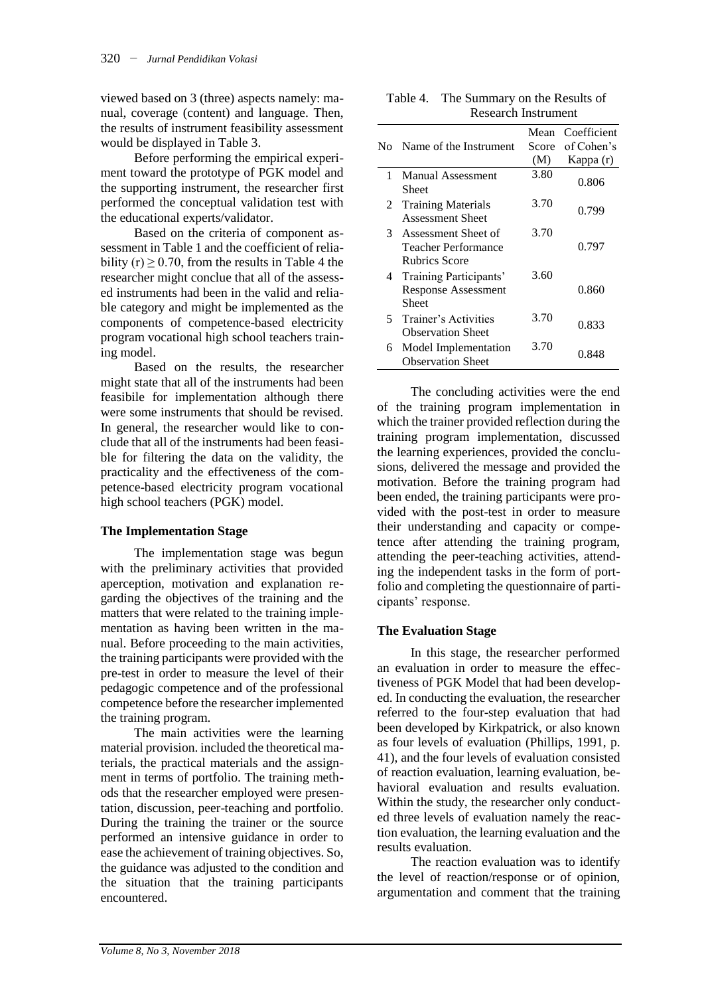viewed based on 3 (three) aspects namely: manual, coverage (content) and language. Then, the results of instrument feasibility assessment would be displayed in Table 3.

Before performing the empirical experiment toward the prototype of PGK model and the supporting instrument, the researcher first performed the conceptual validation test with the educational experts/validator.

Based on the criteria of component assessment in Table 1 and the coefficient of reliability (r)  $\geq$  0.70, from the results in Table 4 the researcher might conclue that all of the assessed instruments had been in the valid and reliable category and might be implemented as the components of competence-based electricity program vocational high school teachers training model.

Based on the results, the researcher might state that all of the instruments had been feasibile for implementation although there were some instruments that should be revised. In general, the researcher would like to conclude that all of the instruments had been feasible for filtering the data on the validity, the practicality and the effectiveness of the competence-based electricity program vocational high school teachers (PGK) model.

#### **The Implementation Stage**

The implementation stage was begun with the preliminary activities that provided aperception, motivation and explanation regarding the objectives of the training and the matters that were related to the training implementation as having been written in the manual. Before proceeding to the main activities, the training participants were provided with the pre-test in order to measure the level of their pedagogic competence and of the professional competence before the researcher implemented the training program.

The main activities were the learning material provision. included the theoretical materials, the practical materials and the assignment in terms of portfolio. The training methods that the researcher employed were presentation, discussion, peer-teaching and portfolio. During the training the trainer or the source performed an intensive guidance in order to ease the achievement of training objectives. So, the guidance was adjusted to the condition and the situation that the training participants encountered.

| Table 4. The Summary on the Results of |
|----------------------------------------|
| <b>Research Instrument</b>             |

|   | No Name of the Instrument                                            | Mean<br>Score | Coefficient<br>of Cohen's |
|---|----------------------------------------------------------------------|---------------|---------------------------|
|   |                                                                      | (M)           | Kappa (r)                 |
| 1 | Manual Assessment<br>Sheet                                           | 3.80          | 0.806                     |
| 2 | <b>Training Materials</b><br><b>Assessment Sheet</b>                 | 3.70          | 0.799                     |
|   | 3 Assessment Sheet of<br>Teacher Performance<br><b>Rubrics Score</b> | 3.70          | 0.797                     |
| 4 | Training Participants'<br><b>Response Assessment</b><br>Sheet        | 3.60          | 0.860                     |
| 5 | Trainer's Activities<br><b>Observation Sheet</b>                     | 3.70          | 0.833                     |
| 6 | Model Implementation<br><b>Observation Sheet</b>                     | 3.70          | 0.848                     |

The concluding activities were the end of the training program implementation in which the trainer provided reflection during the training program implementation, discussed the learning experiences, provided the conclusions, delivered the message and provided the motivation. Before the training program had been ended, the training participants were provided with the post-test in order to measure their understanding and capacity or competence after attending the training program, attending the peer-teaching activities, attending the independent tasks in the form of portfolio and completing the questionnaire of participants' response.

#### **The Evaluation Stage**

In this stage, the researcher performed an evaluation in order to measure the effectiveness of PGK Model that had been developed. In conducting the evaluation, the researcher referred to the four-step evaluation that had been developed by Kirkpatrick, or also known as four levels of evaluation (Phillips, 1991, p. 41), and the four levels of evaluation consisted of reaction evaluation, learning evaluation, behavioral evaluation and results evaluation. Within the study, the researcher only conducted three levels of evaluation namely the reaction evaluation, the learning evaluation and the results evaluation.

The reaction evaluation was to identify the level of reaction/response or of opinion, argumentation and comment that the training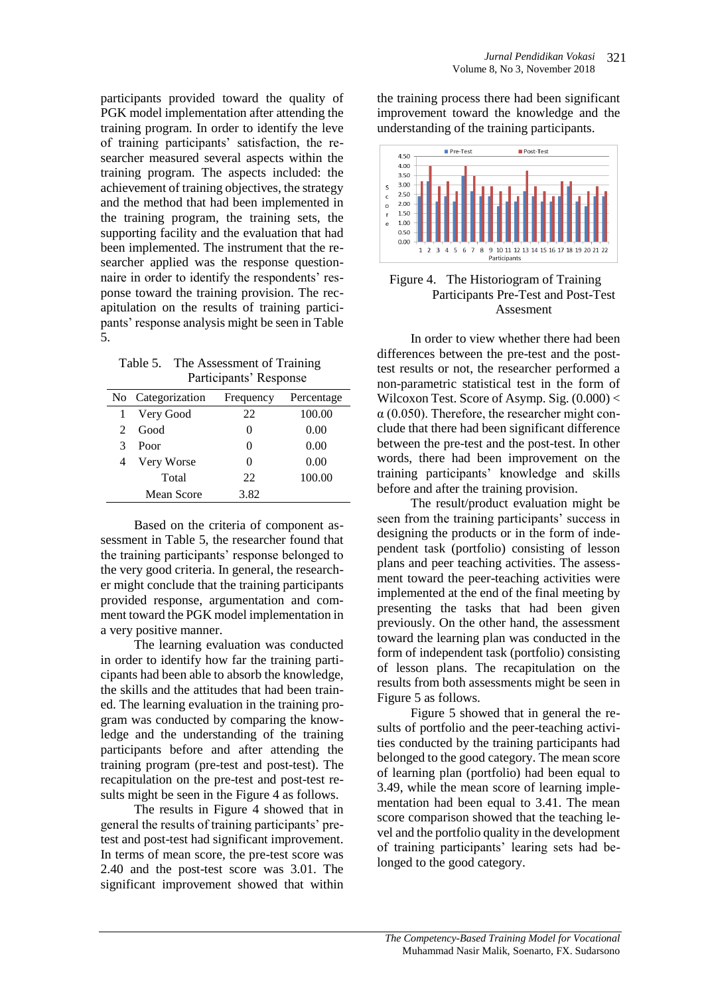participants provided toward the quality of PGK model implementation after attending the training program. In order to identify the leve of training participants' satisfaction, the researcher measured several aspects within the training program. The aspects included: the achievement of training objectives, the strategy and the method that had been implemented in the training program, the training sets, the supporting facility and the evaluation that had been implemented. The instrument that the researcher applied was the response questionnaire in order to identify the respondents' response toward the training provision. The recapitulation on the results of training participants' response analysis might be seen in Table 5.

Table 5. The Assessment of Training Participants' Response

|   | No Categorization | Frequency | Percentage |
|---|-------------------|-----------|------------|
|   | Very Good         | 22        | 100.00     |
| 2 | Good              | 0         | 0.00       |
| 3 | Poor              | 0         | 0.00       |
| 4 | Very Worse        | 0         | 0.00       |
|   | Total             | 22        | 100.00     |
|   | Mean Score        | 3.82      |            |

Based on the criteria of component assessment in Table 5, the researcher found that the training participants' response belonged to the very good criteria. In general, the researcher might conclude that the training participants provided response, argumentation and comment toward the PGK model implementation in a very positive manner.

The learning evaluation was conducted in order to identify how far the training participants had been able to absorb the knowledge, the skills and the attitudes that had been trained. The learning evaluation in the training program was conducted by comparing the knowledge and the understanding of the training participants before and after attending the training program (pre-test and post-test). The recapitulation on the pre-test and post-test results might be seen in the Figure 4 as follows.

The results in Figure 4 showed that in general the results of training participants' pretest and post-test had significant improvement. In terms of mean score, the pre-test score was 2.40 and the post-test score was 3.01. The significant improvement showed that within the training process there had been significant improvement toward the knowledge and the understanding of the training participants.



### Figure 4. The Historiogram of Training Participants Pre-Test and Post-Test Assesment

In order to view whether there had been differences between the pre-test and the posttest results or not, the researcher performed a non-parametric statistical test in the form of Wilcoxon Test. Score of Asymp. Sig.  $(0.000)$  <  $\alpha$  (0.050). Therefore, the researcher might conclude that there had been significant difference between the pre-test and the post-test. In other words, there had been improvement on the training participants' knowledge and skills before and after the training provision.

The result/product evaluation might be seen from the training participants' success in designing the products or in the form of independent task (portfolio) consisting of lesson plans and peer teaching activities. The assessment toward the peer-teaching activities were implemented at the end of the final meeting by presenting the tasks that had been given previously. On the other hand, the assessment toward the learning plan was conducted in the form of independent task (portfolio) consisting of lesson plans. The recapitulation on the results from both assessments might be seen in Figure 5 as follows.

Figure 5 showed that in general the results of portfolio and the peer-teaching activities conducted by the training participants had belonged to the good category. The mean score of learning plan (portfolio) had been equal to 3.49, while the mean score of learning implementation had been equal to 3.41. The mean score comparison showed that the teaching level and the portfolio quality in the development of training participants' learing sets had belonged to the good category.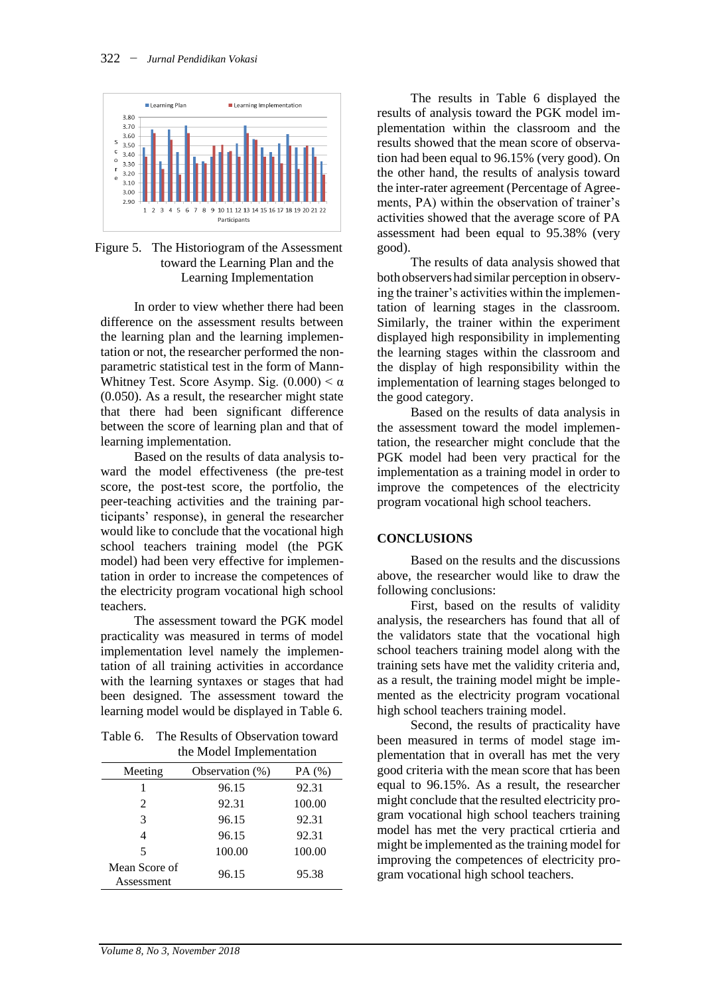

## Figure 5. The Historiogram of the Assessment toward the Learning Plan and the Learning Implementation

In order to view whether there had been difference on the assessment results between the learning plan and the learning implementation or not, the researcher performed the nonparametric statistical test in the form of Mann-Whitney Test. Score Asymp. Sig.  $(0.000) < \alpha$ (0.050). As a result, the researcher might state that there had been significant difference between the score of learning plan and that of learning implementation.

Based on the results of data analysis toward the model effectiveness (the pre-test score, the post-test score, the portfolio, the peer-teaching activities and the training participants' response), in general the researcher would like to conclude that the vocational high school teachers training model (the PGK model) had been very effective for implementation in order to increase the competences of the electricity program vocational high school teachers.

The assessment toward the PGK model practicality was measured in terms of model implementation level namely the implementation of all training activities in accordance with the learning syntaxes or stages that had been designed. The assessment toward the learning model would be displayed in Table 6.

Table 6. The Results of Observation toward the Model Implementation

| Meeting                     | Observation (%) | PA $(%)$ |
|-----------------------------|-----------------|----------|
|                             | 96.15           | 92.31    |
| $\mathfrak{D}$              | 92.31           | 100.00   |
| 3                           | 96.15           | 92.31    |
|                             | 96.15           | 92.31    |
| 5                           | 100.00          | 100.00   |
| Mean Score of<br>Assessment | 96.15           | 95.38    |

The results in Table 6 displayed the results of analysis toward the PGK model implementation within the classroom and the results showed that the mean score of observation had been equal to 96.15% (very good). On the other hand, the results of analysis toward the inter-rater agreement (Percentage of Agreements, PA) within the observation of trainer's activities showed that the average score of PA assessment had been equal to 95.38% (very good).

The results of data analysis showed that bothobservers had similar perception in observing the trainer's activities within the implementation of learning stages in the classroom. Similarly, the trainer within the experiment displayed high responsibility in implementing the learning stages within the classroom and the display of high responsibility within the implementation of learning stages belonged to the good category.

Based on the results of data analysis in the assessment toward the model implementation, the researcher might conclude that the PGK model had been very practical for the implementation as a training model in order to improve the competences of the electricity program vocational high school teachers.

## **CONCLUSIONS**

Based on the results and the discussions above, the researcher would like to draw the following conclusions:

First, based on the results of validity analysis, the researchers has found that all of the validators state that the vocational high school teachers training model along with the training sets have met the validity criteria and, as a result, the training model might be implemented as the electricity program vocational high school teachers training model.

Second, the results of practicality have been measured in terms of model stage implementation that in overall has met the very good criteria with the mean score that has been equal to 96.15%. As a result, the researcher might conclude that the resulted electricity program vocational high school teachers training model has met the very practical crtieria and might be implemented as the training model for improving the competences of electricity program vocational high school teachers.